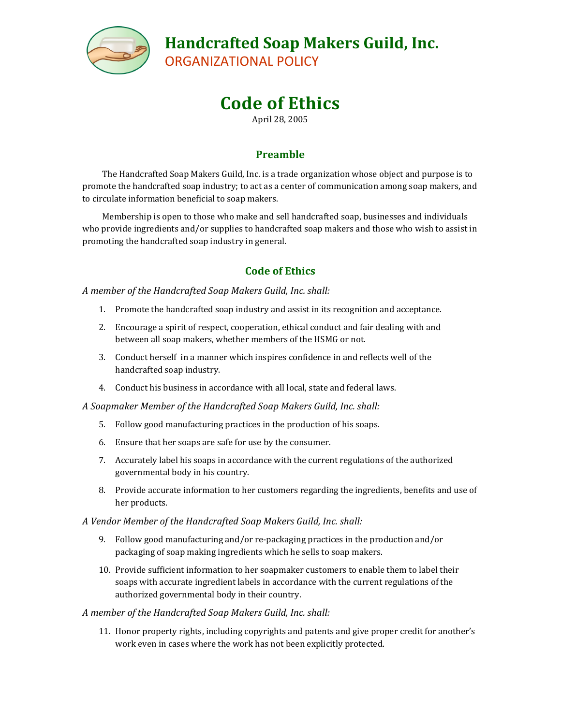

# **Handcrafted Soap Makers Guild, Inc.**

ORGANIZATIONAL POLICY

# **Code of Ethics**

April 28, 2005

## **Preamble**

The Handcrafted Soap Makers Guild, Inc. is a trade organization whose object and purpose is to promote the handcrafted soap industry; to act as a center of communication among soap makers, and to circulate information beneficial to soap makers.

Membership is open to those who make and sell handcrafted soap, businesses and individuals who provide ingredients and/or supplies to handcrafted soap makers and those who wish to assist in promoting the handcrafted soap industry in general.

### **Code of Ethics**

*A member of the Handcrafted Soap Makers Guild, Inc. shall:*

- 1. Promote the handcrafted soap industry and assist in its recognition and acceptance.
- 2. Encourage a spirit of respect, cooperation, ethical conduct and fair dealing with and between all soap makers, whether members of the HSMG or not.
- 3. Conduct herself in a manner which inspires confidence in and reflects well of the handcrafted soap industry.
- 4. Conduct his business in accordance with all local, state and federal laws.

*A Soapmaker Member of the Handcrafted Soap Makers Guild, Inc. shall:*

- 5. Follow good manufacturing practices in the production of his soaps.
- 6. Ensure that her soaps are safe for use by the consumer.
- 7. Accurately label his soaps in accordance with the current regulations of the authorized governmental body in his country.
- 8. Provide accurate information to her customers regarding the ingredients, benefits and use of her products.

### *A Vendor Member of the Handcrafted Soap Makers Guild, Inc. shall:*

- 9. Follow good manufacturing and/or re-packaging practices in the production and/or packaging of soap making ingredients which he sells to soap makers.
- 10. Provide sufficient information to her soapmaker customers to enable them to label their soaps with accurate ingredient labels in accordance with the current regulations of the authorized governmental body in their country.

### *A member of the Handcrafted Soap Makers Guild, Inc. shall:*

11. Honor property rights, including copyrights and patents and give proper credit for another's work even in cases where the work has not been explicitly protected.